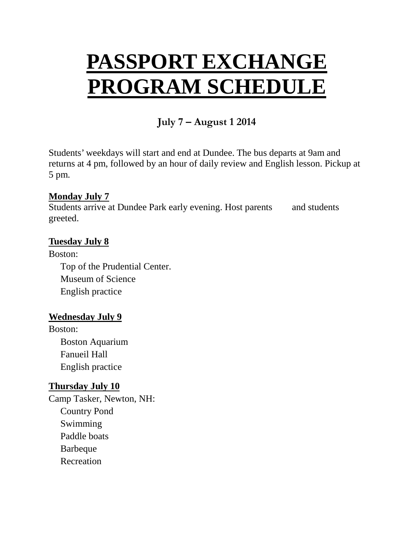# **PASSPORT EXCHANGE PROGRAM SCHEDULE**

## **July 7 – August 1 2014**

Students' weekdays will start and end at Dundee. The bus departs at 9am and returns at 4 pm, followed by an hour of daily review and English lesson. Pickup at 5 pm.

#### **Monday July 7**

Students arrive at Dundee Park early evening. Host parents and students greeted.

## **Tuesday July 8**

Boston: Top of the Prudential Center. Museum of Science English practice

## **Wednesday July 9**

Boston: Boston Aquarium Fanueil Hall English practice

## **Thursday July 10**

Camp Tasker, Newton, NH: Country Pond Swimming Paddle boats Barbeque Recreation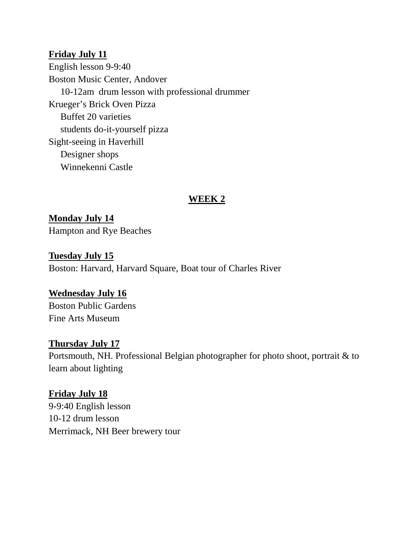#### **Friday July 11**

English lesson 9-9:40 Boston Music Center, Andover 10-12am drum lesson with professional drummer Krueger's Brick Oven Pizza Buffet 20 varieties students do-it-yourself pizza Sight-seeing in Haverhill Designer shops Winnekenni Castle

## **WEEK 2**

**Monday July 14** Hampton and Rye Beaches

**Tuesday July 15** Boston: Harvard, Harvard Square, Boat tour of Charles River

#### **Wednesday July 16**

Boston Public Gardens Fine Arts Museum

#### **Thursday July 17**

Portsmouth, NH. Professional Belgian photographer for photo shoot, portrait & to learn about lighting

#### **Friday July 18**

9-9:40 English lesson 10-12 drum lesson Merrimack, NH Beer brewery tour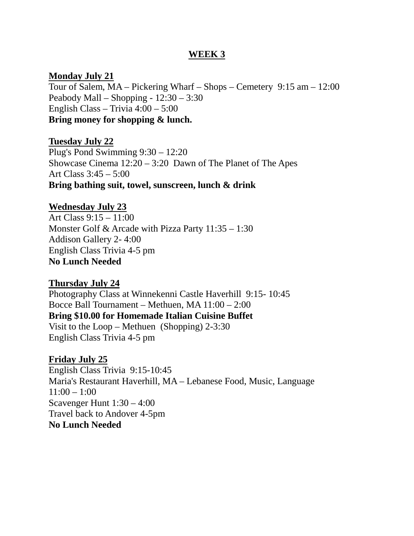#### **WEEK 3**

#### **Monday July 21**

Tour of Salem, MA – Pickering Wharf – Shops – Cemetery 9:15 am – 12:00 Peabody Mall – Shopping - 12:30 – 3:30 English Class – Trivia 4:00 – 5:00 **Bring money for shopping & lunch.**

#### **Tuesday July 22**

Plug's Pond Swimming 9:30 – 12:20 Showcase Cinema 12:20 – 3:20 Dawn of The Planet of The Apes Art Class 3:45 – 5:00 **Bring bathing suit, towel, sunscreen, lunch & drink**

#### **Wednesday July 23**

Art Class 9:15 – 11:00 Monster Golf & Arcade with Pizza Party 11:35 – 1:30 Addison Gallery 2- 4:00 English Class Trivia 4-5 pm **No Lunch Needed**

#### **Thursday July 24**

Photography Class at Winnekenni Castle Haverhill 9:15- 10:45 Bocce Ball Tournament – Methuen, MA 11:00 – 2:00 **Bring \$10.00 for Homemade Italian Cuisine Buffet** Visit to the Loop – Methuen (Shopping) 2-3:30 English Class Trivia 4-5 pm

#### **Friday July 25**

English Class Trivia 9:15-10:45 Maria's Restaurant Haverhill, MA – Lebanese Food, Music, Language  $11:00 - 1:00$ Scavenger Hunt 1:30 – 4:00 Travel back to Andover 4-5pm **No Lunch Needed**